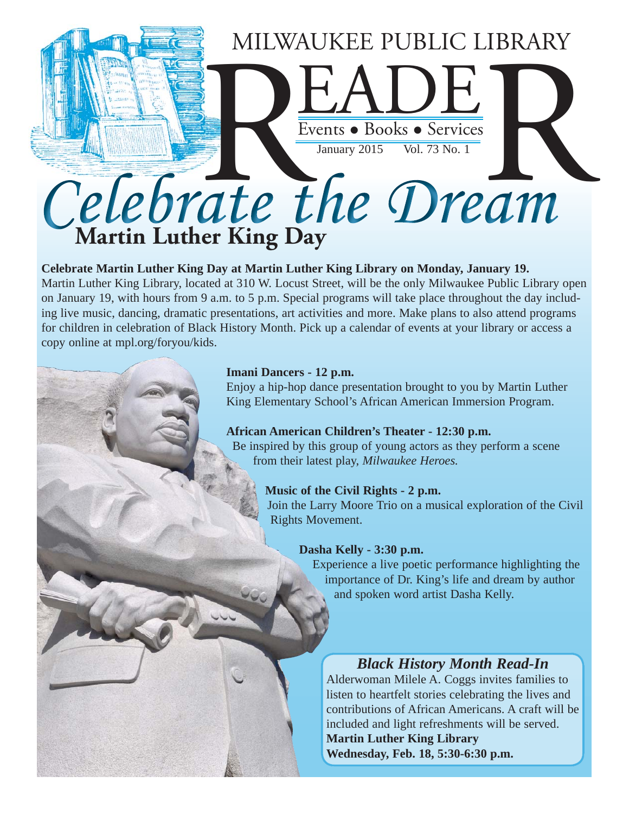

#### **Celebrate Martin Luther King Day at Martin Luther King Library on Monday, January 19.**

Martin Luther King Library, located at 310 W. Locust Street, will be the only Milwaukee Public Library open on January 19, with hours from 9 a.m. to 5 p.m. Special programs will take place throughout the day including live music, dancing, dramatic presentations, art activities and more. Make plans to also attend programs for children in celebration of Black History Month. Pick up a calendar of events at your library or access a copy online at mpl.org/foryou/kids.

#### **Imani Dancers - 12 p.m.**

 Enjoy a hip-hop dance presentation brought to you by Martin Luther King Elementary School's African American Immersion Program.

**African American Children's Theater - 12:30 p.m.** Be inspired by this group of young actors as they perform a scene from their latest play, *Milwaukee Heroes.*

#### **Music of the Civil Rights - 2 p.m.**

Join the Larry Moore Trio on a musical exploration of the Civil Rights Movement.

#### **Dasha Kelly - 3:30 p.m.**

Experience a live poetic performance highlighting the importance of Dr. King's life and dream by author and spoken word artist Dasha Kelly.

#### *Black History Month Read-In*

Alderwoman Milele A. Coggs invites families to listen to heartfelt stories celebrating the lives and contributions of African Americans. A craft will be included and light refreshments will be served.

**Martin Luther King Library Wednesday, Feb. 18, 5:30-6:30 p.m.**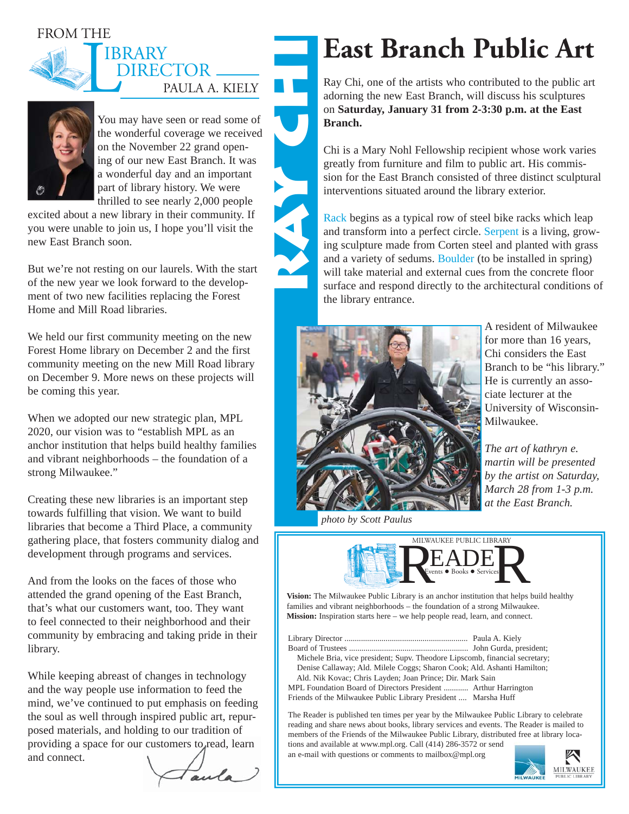#### FROM THE



## DIRECTOR \_\_ PAULA A. KIELY IBRARY **ray chi**



You may have seen or read some of the wonderful coverage we received on the November 22 grand opening of our new East Branch. It was a wonderful day and an important part of library history. We were thrilled to see nearly 2,000 people

excited about a new library in their community. If you were unable to join us, I hope you'll visit the new East Branch soon.

But we're not resting on our laurels. With the start of the new year we look forward to the development of two new facilities replacing the Forest Home and Mill Road libraries.

We held our first community meeting on the new Forest Home library on December 2 and the first community meeting on the new Mill Road library on December 9. More news on these projects will be coming this year.

When we adopted our new strategic plan, MPL 2020, our vision was to "establish MPL as an anchor institution that helps build healthy families and vibrant neighborhoods – the foundation of a strong Milwaukee."

Creating these new libraries is an important step towards fulfilling that vision. We want to build libraries that become a Third Place, a community gathering place, that fosters community dialog and development through programs and services.

And from the looks on the faces of those who attended the grand opening of the East Branch, that's what our customers want, too. They want to feel connected to their neighborhood and their community by embracing and taking pride in their library.

While keeping abreast of changes in technology and the way people use information to feed the mind, we've continued to put emphasis on feeding the soul as well through inspired public art, repurposed materials, and holding to our tradition of providing a space for our customers to read, learn and connect.

aula

## **East Branch Public Art**

**EXECUTE:**<br>
Ray Chi, one of the artists who contributed to the public art adorning the new East Branch, will discuss his sculptures on **Saturday, January 31 from 2-3:30 p.m. at the East Branch.**

Chi is a Mary Nohl Fellowship recipient whose work varies greatly from furniture and film to public art. His commission for the East Branch consisted of three distinct sculptural interventions situated around the library exterior.

Rack begins as a typical row of steel bike racks which leap and transform into a perfect circle. Serpent is a living, growing sculpture made from Corten steel and planted with grass and a variety of sedums. Boulder (to be installed in spring) will take material and external cues from the concrete floor surface and respond directly to the architectural conditions of the library entrance.



A resident of Milwaukee for more than 16 years, Chi considers the East Branch to be "his library." He is currently an associate lecturer at the University of Wisconsin-Milwaukee.

*The art of kathryn e. martin will be presented by the artist on Saturday, March 28 from 1-3 p.m. at the East Branch.* 

*photo by Scott Paulus*



**Vision:** The Milwaukee Public Library is an anchor institution that helps build healthy families and vibrant neighborhoods – the foundation of a strong Milwaukee. **Mission:** Inspiration starts here – we help people read, learn, and connect.

Library Director ............................................................ Paula A. Kiely Board of Trustees .......................................................... John Gurda, president; Michele Bria, vice president; Supv. Theodore Lipscomb, financial secretary; Denise Callaway; Ald. Milele Coggs; Sharon Cook; Ald. Ashanti Hamilton; Ald. Nik Kovac; Chris Layden; Joan Prince; Dir. Mark Sain MPL Foundation Board of Directors President ............ Arthur Harrington

Friends of the Milwaukee Public Library President .... Marsha Huff

The Reader is published ten times per year by the Milwaukee Public Library to celebrate reading and share news about books, library services and events. The Reader is mailed to members of the Friends of the Milwaukee Public Library, distributed free at library locations and available at www.mpl.org. Call (414) 286-3572 or send

an e-mail with questions or comments to mailbox@mpl.org

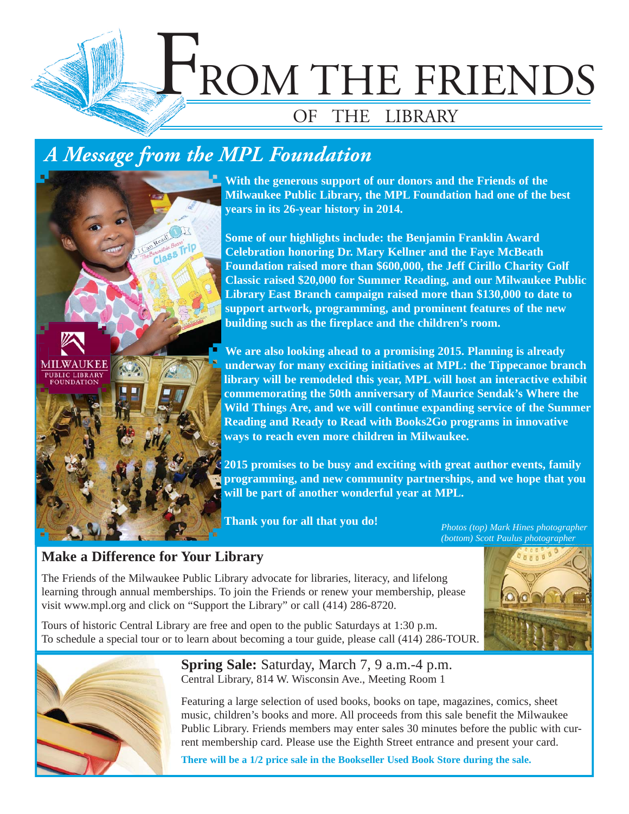

### *A Message from the MPL Foundation*



**With the generous support of our donors and the Friends of the Milwaukee Public Library, the MPL Foundation had one of the best years in its 26-year history in 2014.**

**Some of our highlights include: the Benjamin Franklin Award Celebration honoring Dr. Mary Kellner and the Faye McBeath Foundation raised more than \$600,000, the Jeff Cirillo Charity Golf Classic raised \$20,000 for Summer Reading, and our Milwaukee Public Library East Branch campaign raised more than \$130,000 to date to support artwork, programming, and prominent features of the new building such as the fireplace and the children's room.** 

**We are also looking ahead to a promising 2015. Planning is already underway for many exciting initiatives at MPL: the Tippecanoe branch library will be remodeled this year, MPL will host an interactive exhibit commemorating the 50th anniversary of Maurice Sendak's Where the Wild Things Are, and we will continue expanding service of the Summer Reading and Ready to Read with Books2Go programs in innovative ways to reach even more children in Milwaukee.** 

**2015 promises to be busy and exciting with great author events, family programming, and new community partnerships, and we hope that you will be part of another wonderful year at MPL.**

**Thank you for all that you do!**

*Photos (top) Mark Hines photographer (bottom) Scott Paulus photographer*

### **Make a Difference for Your Library**

The Friends of the Milwaukee Public Library advocate for libraries, literacy, and lifelong learning through annual memberships. To join the Friends or renew your membership, please visit www.mpl.org and click on "Support the Library" or call (414) 286-8720.

Tours of historic Central Library are free and open to the public Saturdays at 1:30 p.m. To schedule a special tour or to learn about becoming a tour guide, please call (414) 286-TOUR.



**Spring Sale:** Saturday, March 7, 9 a.m.-4 p.m. Central Library, 814 W. Wisconsin Ave., Meeting Room 1

Featuring a large selection of used books, books on tape, magazines, comics, sheet music, children's books and more. All proceeds from this sale benefit the Milwaukee Public Library. Friends members may enter sales 30 minutes before the public with current membership card. Please use the Eighth Street entrance and present your card.

**There will be a 1/2 price sale in the Bookseller Used Book Store during the sale.**

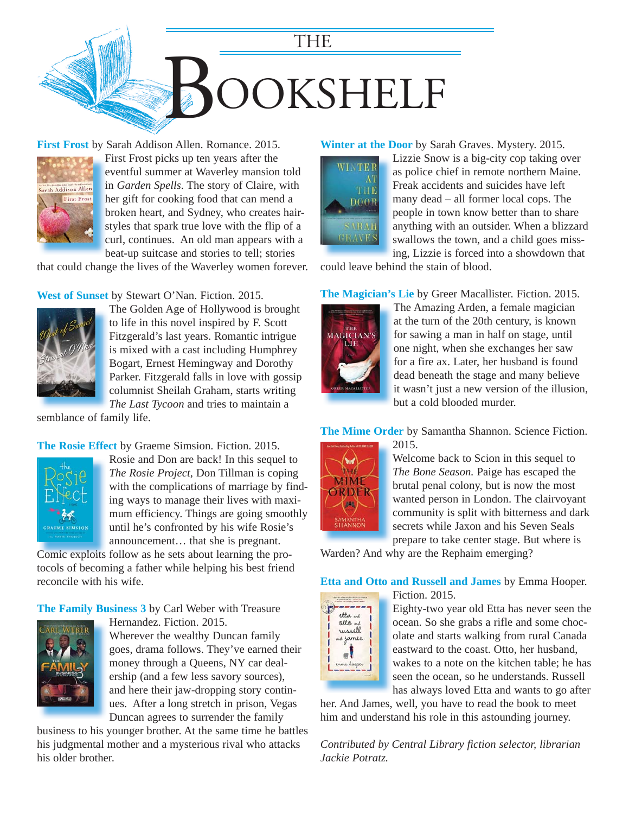

**First Frost** by Sarah Addison Allen. Romance. 2015.



First Frost picks up ten years after the F eventful summer at Waverley mansion told e in *Garden Spells*. The story of Claire, with her gift for cooking food that can mend a h broken heart, and Sydney, who creates hair-b styles that spark true love with the flip of a curl, continues. An old man appears with a beat-up suitcase and stories to tell; stories b

[that could change the lives of the Waverley women forever.](https://encore.mcfls.org/iii/encore/record/C__Rb3787373) 

**West of Sunset** by Stewart O'Nan. Fiction. 2015.



The Golden Age of Hollywood is brought to life in this novel inspired by F. Scott Fitzgerald's last years. Romantic intrigue is mixed with a cast including Humphrey Bogart, Ernest Hemingway and Dorothy [Parker. Fitzgerald falls in love with gossip](https://encore.mcfls.org/iii/encore/record/C__Rb3787375)  columnist Sheilah Graham, starts writing *The Last Tycoon* and tries to maintain a

semblance of family life.

#### **The Rosie Effect** by Graeme Simsion. Fiction. 2015.



Rosie and Don are back! In this sequel to *The Rosie Project*, Don Tillman is coping with the complications of marriage by finding ways to manage their lives with maximum efficiency. Things are going smoothly until he's confronted by his wife Rosie's announcement… that she is pregnant.

Comic exploits follow as he sets about learning the pro-Comic exploits[tocols of becoming a father while helping his best friend](https://encore.mcfls.org/iii/encore/record/C__Rb3785912)  reconcile with his wife.

**The Family Business 3** by Carl Weber with Treasure



Hernandez. Fiction. 2015. Wherever the wealthy Duncan family goes, drama follows. They've earned their money through a Queens, NY car dealership (and a few less savory sources), and here their jaw-dropping story continues. After a long stretch in prison, Vegas Duncan agrees to surrender the family

business to his younger brother. At the same time he battles his judgmental mother and a mysterious rival who attacks his older brother.

#### **Winter at the Door** by Sarah Graves. Mystery. 2015.



Lizzie Snow is a big-city cop taking over as police chief in remote northern Maine. Freak accidents and suicides have left many dead – all former local cops. The people in town know better than to share [anything with an outsider. When a blizzard](https://encore.mcfls.org/iii/encore/record/C__Rb3787372)  swallows the town, and a child goes missing, Lizzie is forced into a showdown that

could leave behind the stain of blood.

#### **The Magician's Lie** by Greer Macallister. Fiction. 2015.



The Amazing Arden, a female magician at the turn of the 20th century, is known for sawing a man in half on stage, until one night, when she exchanges her saw for a fire ax. Later, her husband is found dead beneath the stage and many believe [it wasn't just a new version of the illusion,](https://encore.mcfls.org/iii/encore/record/C__Rb3775861)  but a cold blooded murder.

#### **The Mime Order** by Samantha Shannon. Science Fiction. 2015.



Welcome back to Scion in this sequel to *The Bone Season.* Paige has escaped the brutal penal colony, but is now the most wanted person in London. The clairvoyant community is split with bitterness and dark secrets while Jaxon and his Seven Seals prepare to take center stage. But where is

Warden? And why are the Rephaim emerging?

#### **Etta and Otto and Russell and James** by Emma Hooper. Fiction. 2015.



Eighty-two year old Etta has never seen the ocean. So she grabs a rifle and some chocolate and starts walking from rural Canada eastward to the coast. Otto, her husband, wakes to a note on the kitchen table; he has seen the ocean, so he understands. Russell has always loved Etta and wants to go after

[her. And James, well, you have to read the book to meet](https://encore.mcfls.org/iii/encore/record/C__Rb3775556)  him and understand his role in this astounding journey.

*Contributed by Central Library fiction selector, librarian Jackie Potratz.*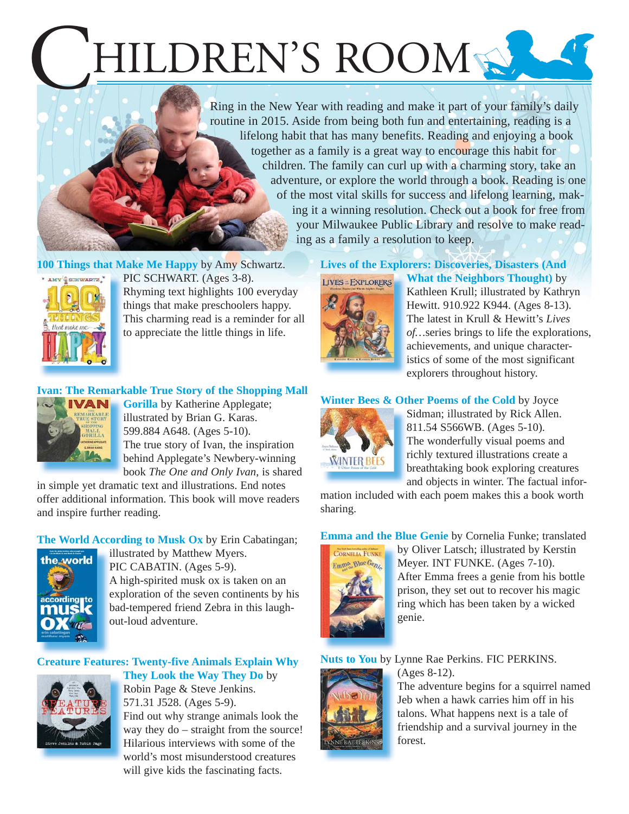# HILDREN'S ROOM

Ring in the New Year with reading and make it part of your family's daily routine in 2015. Aside from being both fun and entertaining, reading is a lifelong habit that has many benefits. Reading and enjoying a book together as a family is a great way to encourage this habit for children. The family can curl up with a charming story, take an adventure, or explore the world through a book. Reading is one of the most vital skills for success and lifelong learning, making it a winning resolution. Check out a book for free from your Milwaukee Public Library and resolve to make reading as a family a resolution to keep.

**100 Things that Make Me Happy** by Amy Schwartz.



PIC SCHWART. (Ages 3-8). Rhyming text highlights 100 everyday things that make preschoolers happy. [This charming read is a reminder for all](https://encore.mcfls.org/iii/encore/record/C__Rb3774163)  to appreciate the little things in life.

#### **Ivan: The Remarkable True Story of the Shopping Mall**



**Gorilla** by Katherine Applegate; illustrated by Brian G. Karas. 599.884 A648. (Ages 5-10). The true story of Ivan, the inspiration behind Applegate's Newbery-winning b book *The One and Only Ivan*, is shared b

in simple yet dramatic text and illustrations. End notes [offer additional information. This book will move readers](https://encore.mcfls.org/iii/encore/record/C__Rb3762357)  and inspire further reading.

**The World According to Musk Ox** by Erin Cabatingan;



illustrated by Matthew Myers. i PIC CABATIN. (Ages 5-9). A high-spirited musk ox is taken on an A [exploration of the seven continents by his](https://encore.mcfls.org/iii/encore/record/C__Rb3777200)  e bad-tempered friend Zebra in this laugh-b out-loud adventure.

#### **[Creature Features: Twenty-five Animals Explain Why](https://encore.mcfls.org/iii/encore/record/C__Rb3778407)**



**They Look the Way They Do** by Robin Page & Steve Jenkins. 571.31 J528. (Ages 5-9). Find out why strange animals look the way they do – straight from the source! Hilarious interviews with some of the world's most misunderstood creatures will give kids the fascinating facts.

#### **[Lives of the Explorers: Discoveries, Disasters \(And](https://encore.mcfls.org/iii/encore/record/C__Rb3764454)  What the Neighbors Thought)** by **LIVES = EXPLORERS**



Kathleen Krull; illustrated by Kathryn Hewitt. 910.922 K944. (Ages 8-13). The latest in Krull & Hewitt's *Lives of…*series brings to life the explorations, achievements, and unique characteristics of some of the most significant explorers throughout history.

#### **Winter Bees & Other Poems of the Cold** by Joyce



Sidman; illustrated by Rick Allen. 811.54 S566WB. (Ages 5-10). The wonderfully visual poems and richly textured illustrations create a breathtaking book exploring creatures band objects in winter. The factual infor-

[mation included with each poem makes this a book worth](https://encore.mcfls.org/iii/encore/record/C__Rb3782811)  sharing.

**Emma and the Blue Genie** by Cornelia Funke; translated



by Oliver Latsch; illustrated by Kerstin Meyer. INT FUNKE. (Ages 7-10). [After Emma frees a genie from his bottle](https://encore.mcfls.org/iii/encore/record/C__Rb3767551)  prison, they set out to recover his magic ring which has been taken by a wicked genie.

#### **Nuts to You** by Lynne Rae Perkins. FIC PERKINS.



(Ages 8-12).

[The adventure begins for a squirrel named](https://encore.mcfls.org/iii/encore/record/C__Rb3764084)  Jeb when a hawk carries him off in his talons. What happens next is a tale of friendship and a survival journey in the forest.